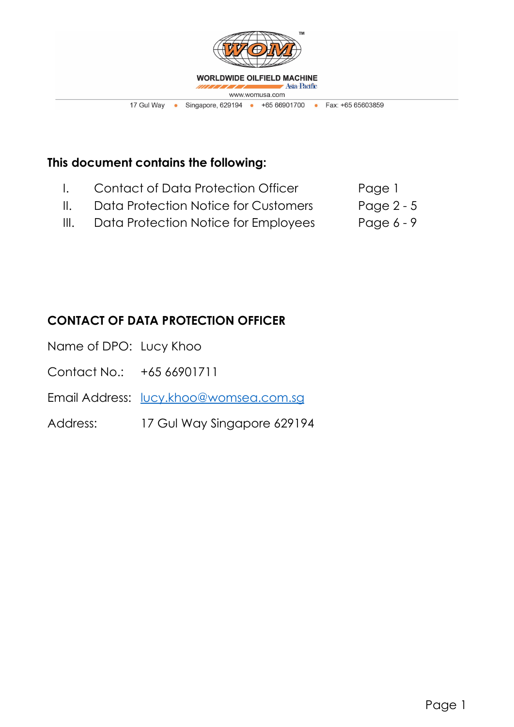

# **This document contains the following:**

- I. Contact of Data Protection Officer Page 1
- II. Data Protection Notice for Customers Page 2 5
- III. Data Protection Notice for Employees Page 6 9

# **CONTACT OF DATA PROTECTION OFFICER**

- Name of DPO: Lucy Khoo
- Contact No.: +65 66901711
- Email Address: <u>[lucy.khoo@womsea.com.sg](mailto:lucy.khoo@womsea.com.sg)</u>
- Address: 17 Gul Way Singapore 629194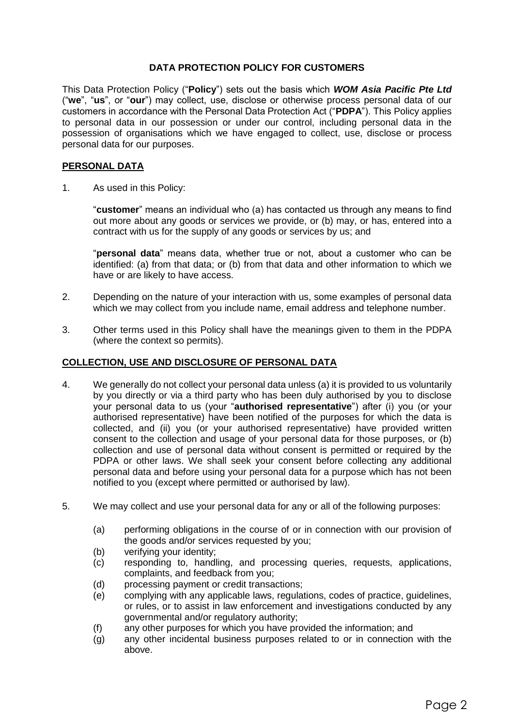## **DATA PROTECTION POLICY FOR CUSTOMERS**

This Data Protection Policy ("**Policy**") sets out the basis which *WOM Asia Pacific Pte Ltd* ("**we**", "**us**", or "**our**") may collect, use, disclose or otherwise process personal data of our customers in accordance with the Personal Data Protection Act ("**PDPA**"). This Policy applies to personal data in our possession or under our control, including personal data in the possession of organisations which we have engaged to collect, use, disclose or process personal data for our purposes.

## **PERSONAL DATA**

1. As used in this Policy:

"**customer**" means an individual who (a) has contacted us through any means to find out more about any goods or services we provide, or (b) may, or has, entered into a contract with us for the supply of any goods or services by us; and

"**personal data**" means data, whether true or not, about a customer who can be identified: (a) from that data; or (b) from that data and other information to which we have or are likely to have access.

- 2. Depending on the nature of your interaction with us, some examples of personal data which we may collect from you include name, email address and telephone number.
- 3. Other terms used in this Policy shall have the meanings given to them in the PDPA (where the context so permits).

#### **COLLECTION, USE AND DISCLOSURE OF PERSONAL DATA**

- 4. We generally do not collect your personal data unless (a) it is provided to us voluntarily by you directly or via a third party who has been duly authorised by you to disclose your personal data to us (your "**authorised representative**") after (i) you (or your authorised representative) have been notified of the purposes for which the data is collected, and (ii) you (or your authorised representative) have provided written consent to the collection and usage of your personal data for those purposes, or (b) collection and use of personal data without consent is permitted or required by the PDPA or other laws. We shall seek your consent before collecting any additional personal data and before using your personal data for a purpose which has not been notified to you (except where permitted or authorised by law).
- 5. We may collect and use your personal data for any or all of the following purposes:
	- (a) performing obligations in the course of or in connection with our provision of the goods and/or services requested by you;
	- (b) verifying your identity;
	- (c) responding to, handling, and processing queries, requests, applications, complaints, and feedback from you;
	- (d) processing payment or credit transactions;
	- (e) complying with any applicable laws, regulations, codes of practice, guidelines, or rules, or to assist in law enforcement and investigations conducted by any governmental and/or regulatory authority;
	- (f) any other purposes for which you have provided the information; and
	- (g) any other incidental business purposes related to or in connection with the above.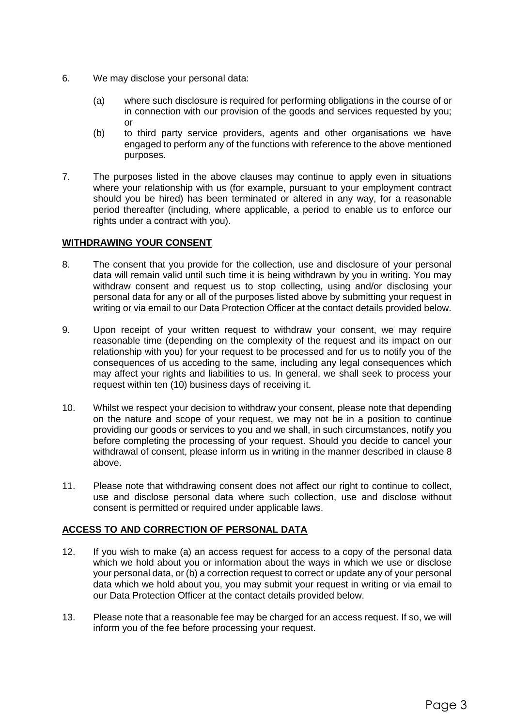- 6. We may disclose your personal data:
	- (a) where such disclosure is required for performing obligations in the course of or in connection with our provision of the goods and services requested by you; or
	- (b) to third party service providers, agents and other organisations we have engaged to perform any of the functions with reference to the above mentioned purposes.
- 7. The purposes listed in the above clauses may continue to apply even in situations where your relationship with us (for example, pursuant to your employment contract should you be hired) has been terminated or altered in any way, for a reasonable period thereafter (including, where applicable, a period to enable us to enforce our rights under a contract with you).

# **WITHDRAWING YOUR CONSENT**

- 8. The consent that you provide for the collection, use and disclosure of your personal data will remain valid until such time it is being withdrawn by you in writing. You may withdraw consent and request us to stop collecting, using and/or disclosing your personal data for any or all of the purposes listed above by submitting your request in writing or via email to our Data Protection Officer at the contact details provided below.
- 9. Upon receipt of your written request to withdraw your consent, we may require reasonable time (depending on the complexity of the request and its impact on our relationship with you) for your request to be processed and for us to notify you of the consequences of us acceding to the same, including any legal consequences which may affect your rights and liabilities to us. In general, we shall seek to process your request within ten (10) business days of receiving it.
- 10. Whilst we respect your decision to withdraw your consent, please note that depending on the nature and scope of your request, we may not be in a position to continue providing our goods or services to you and we shall, in such circumstances, notify you before completing the processing of your request. Should you decide to cancel your withdrawal of consent, please inform us in writing in the manner described in clause 8 above.
- 11. Please note that withdrawing consent does not affect our right to continue to collect, use and disclose personal data where such collection, use and disclose without consent is permitted or required under applicable laws.

# **ACCESS TO AND CORRECTION OF PERSONAL DATA**

- 12. If you wish to make (a) an access request for access to a copy of the personal data which we hold about you or information about the ways in which we use or disclose your personal data, or (b) a correction request to correct or update any of your personal data which we hold about you, you may submit your request in writing or via email to our Data Protection Officer at the contact details provided below.
- 13. Please note that a reasonable fee may be charged for an access request. If so, we will inform you of the fee before processing your request.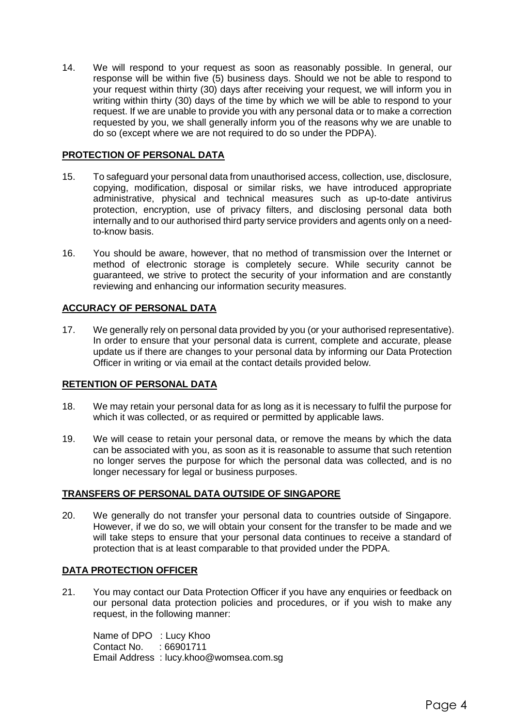14. We will respond to your request as soon as reasonably possible. In general, our response will be within five (5) business days. Should we not be able to respond to your request within thirty (30) days after receiving your request, we will inform you in writing within thirty (30) days of the time by which we will be able to respond to your request. If we are unable to provide you with any personal data or to make a correction requested by you, we shall generally inform you of the reasons why we are unable to do so (except where we are not required to do so under the PDPA).

## **PROTECTION OF PERSONAL DATA**

- 15. To safeguard your personal data from unauthorised access, collection, use, disclosure, copying, modification, disposal or similar risks, we have introduced appropriate administrative, physical and technical measures such as up-to-date antivirus protection, encryption, use of privacy filters, and disclosing personal data both internally and to our authorised third party service providers and agents only on a needto-know basis.
- 16. You should be aware, however, that no method of transmission over the Internet or method of electronic storage is completely secure. While security cannot be guaranteed, we strive to protect the security of your information and are constantly reviewing and enhancing our information security measures.

## **ACCURACY OF PERSONAL DATA**

17. We generally rely on personal data provided by you (or your authorised representative). In order to ensure that your personal data is current, complete and accurate, please update us if there are changes to your personal data by informing our Data Protection Officer in writing or via email at the contact details provided below.

## **RETENTION OF PERSONAL DATA**

- 18. We may retain your personal data for as long as it is necessary to fulfil the purpose for which it was collected, or as required or permitted by applicable laws.
- 19. We will cease to retain your personal data, or remove the means by which the data can be associated with you, as soon as it is reasonable to assume that such retention no longer serves the purpose for which the personal data was collected, and is no longer necessary for legal or business purposes.

## **TRANSFERS OF PERSONAL DATA OUTSIDE OF SINGAPORE**

20. We generally do not transfer your personal data to countries outside of Singapore. However, if we do so, we will obtain your consent for the transfer to be made and we will take steps to ensure that your personal data continues to receive a standard of protection that is at least comparable to that provided under the PDPA.

# **DATA PROTECTION OFFICER**

21. You may contact our Data Protection Officer if you have any enquiries or feedback on our personal data protection policies and procedures, or if you wish to make any request, in the following manner:

Name of DPO : Lucy Khoo Contact No. : 66901711 Email Address : lucy.khoo@womsea.com.sg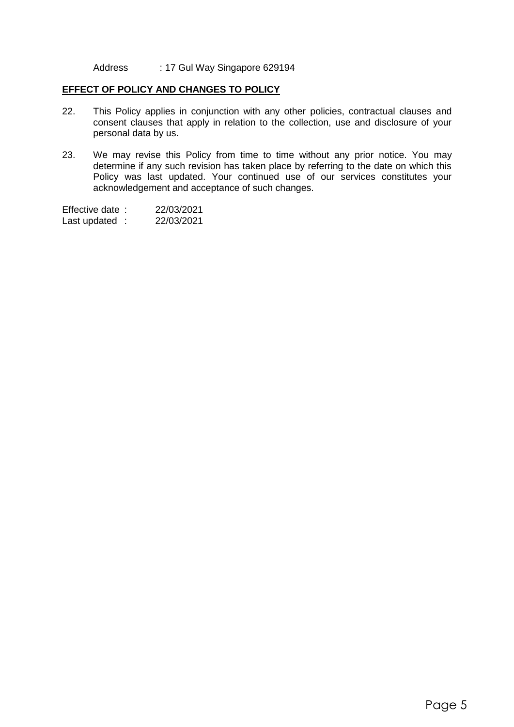Address : 17 Gul Way Singapore 629194

#### **EFFECT OF POLICY AND CHANGES TO POLICY**

- 22. This Policy applies in conjunction with any other policies, contractual clauses and consent clauses that apply in relation to the collection, use and disclosure of your personal data by us.
- 23. We may revise this Policy from time to time without any prior notice. You may determine if any such revision has taken place by referring to the date on which this Policy was last updated. Your continued use of our services constitutes your acknowledgement and acceptance of such changes.

Effective date : 22/03/2021 Last updated : 22/03/2021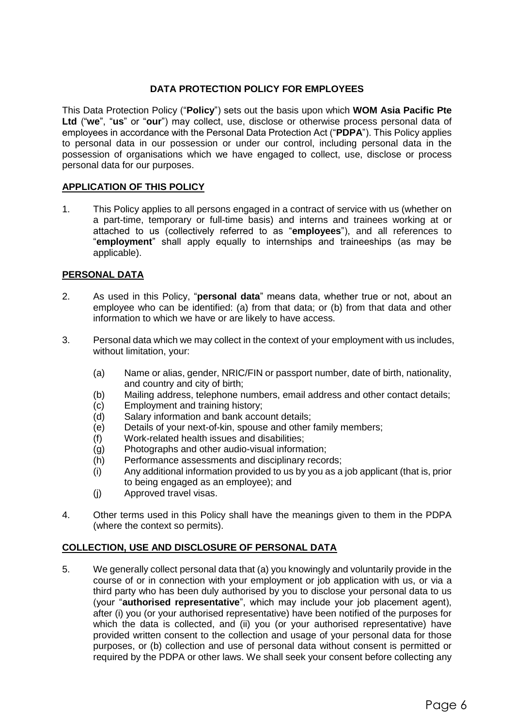## **DATA PROTECTION POLICY FOR EMPLOYEES**

This Data Protection Policy ("**Policy**") sets out the basis upon which **WOM Asia Pacific Pte Ltd** ("**we**", "**us**" or "**our**") may collect, use, disclose or otherwise process personal data of employees in accordance with the Personal Data Protection Act ("**PDPA**"). This Policy applies to personal data in our possession or under our control, including personal data in the possession of organisations which we have engaged to collect, use, disclose or process personal data for our purposes.

## **APPLICATION OF THIS POLICY**

1. This Policy applies to all persons engaged in a contract of service with us (whether on a part-time, temporary or full-time basis) and interns and trainees working at or attached to us (collectively referred to as "**employees**"), and all references to "**employment**" shall apply equally to internships and traineeships (as may be applicable).

#### **PERSONAL DATA**

- 2. As used in this Policy, "**personal data**" means data, whether true or not, about an employee who can be identified: (a) from that data; or (b) from that data and other information to which we have or are likely to have access.
- 3. Personal data which we may collect in the context of your employment with us includes, without limitation, your:
	- (a) Name or alias, gender, NRIC/FIN or passport number, date of birth, nationality, and country and city of birth;
	- (b) Mailing address, telephone numbers, email address and other contact details;
	- (c) Employment and training history;
	- (d) Salary information and bank account details;
	- (e) Details of your next-of-kin, spouse and other family members;
	- (f) Work-related health issues and disabilities;
	- (g) Photographs and other audio-visual information;
	- (h) Performance assessments and disciplinary records;
	- (i) Any additional information provided to us by you as a job applicant (that is, prior to being engaged as an employee); and
	- (j) Approved travel visas.
- 4. Other terms used in this Policy shall have the meanings given to them in the PDPA (where the context so permits).

## **COLLECTION, USE AND DISCLOSURE OF PERSONAL DATA**

5. We generally collect personal data that (a) you knowingly and voluntarily provide in the course of or in connection with your employment or job application with us, or via a third party who has been duly authorised by you to disclose your personal data to us (your "**authorised representative**", which may include your job placement agent), after (i) you (or your authorised representative) have been notified of the purposes for which the data is collected, and (ii) you (or your authorised representative) have provided written consent to the collection and usage of your personal data for those purposes, or (b) collection and use of personal data without consent is permitted or required by the PDPA or other laws. We shall seek your consent before collecting any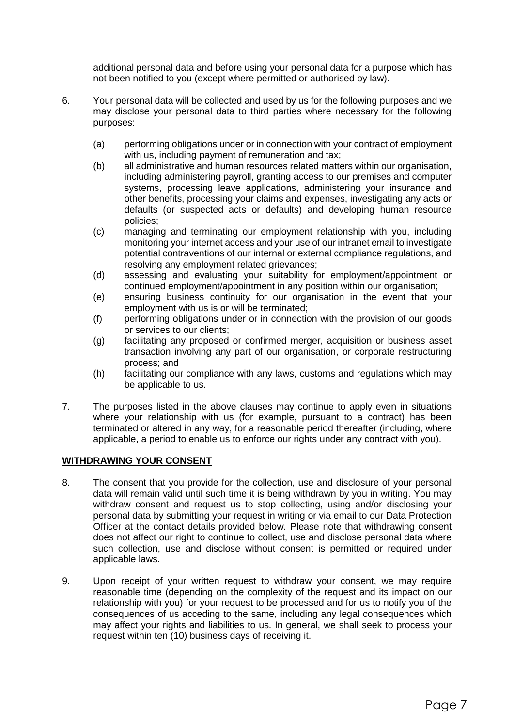additional personal data and before using your personal data for a purpose which has not been notified to you (except where permitted or authorised by law).

- 6. Your personal data will be collected and used by us for the following purposes and we may disclose your personal data to third parties where necessary for the following purposes:
	- (a) performing obligations under or in connection with your contract of employment with us, including payment of remuneration and tax;
	- (b) all administrative and human resources related matters within our organisation, including administering payroll, granting access to our premises and computer systems, processing leave applications, administering your insurance and other benefits, processing your claims and expenses, investigating any acts or defaults (or suspected acts or defaults) and developing human resource policies;
	- (c) managing and terminating our employment relationship with you, including monitoring your internet access and your use of our intranet email to investigate potential contraventions of our internal or external compliance regulations, and resolving any employment related grievances;
	- (d) assessing and evaluating your suitability for employment/appointment or continued employment/appointment in any position within our organisation;
	- (e) ensuring business continuity for our organisation in the event that your employment with us is or will be terminated;
	- (f) performing obligations under or in connection with the provision of our goods or services to our clients;
	- (g) facilitating any proposed or confirmed merger, acquisition or business asset transaction involving any part of our organisation, or corporate restructuring process; and
	- (h) facilitating our compliance with any laws, customs and regulations which may be applicable to us.
- 7. The purposes listed in the above clauses may continue to apply even in situations where your relationship with us (for example, pursuant to a contract) has been terminated or altered in any way, for a reasonable period thereafter (including, where applicable, a period to enable us to enforce our rights under any contract with you).

## **WITHDRAWING YOUR CONSENT**

- 8. The consent that you provide for the collection, use and disclosure of your personal data will remain valid until such time it is being withdrawn by you in writing. You may withdraw consent and request us to stop collecting, using and/or disclosing your personal data by submitting your request in writing or via email to our Data Protection Officer at the contact details provided below. Please note that withdrawing consent does not affect our right to continue to collect, use and disclose personal data where such collection, use and disclose without consent is permitted or required under applicable laws.
- 9. Upon receipt of your written request to withdraw your consent, we may require reasonable time (depending on the complexity of the request and its impact on our relationship with you) for your request to be processed and for us to notify you of the consequences of us acceding to the same, including any legal consequences which may affect your rights and liabilities to us. In general, we shall seek to process your request within ten (10) business days of receiving it.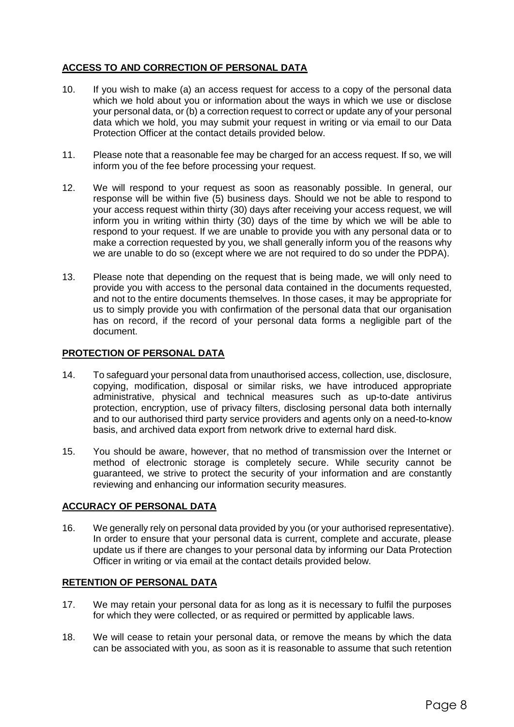# **ACCESS TO AND CORRECTION OF PERSONAL DATA**

- 10. If you wish to make (a) an access request for access to a copy of the personal data which we hold about you or information about the ways in which we use or disclose your personal data, or (b) a correction request to correct or update any of your personal data which we hold, you may submit your request in writing or via email to our Data Protection Officer at the contact details provided below.
- 11. Please note that a reasonable fee may be charged for an access request. If so, we will inform you of the fee before processing your request.
- 12. We will respond to your request as soon as reasonably possible. In general, our response will be within five (5) business days. Should we not be able to respond to your access request within thirty (30) days after receiving your access request, we will inform you in writing within thirty (30) days of the time by which we will be able to respond to your request. If we are unable to provide you with any personal data or to make a correction requested by you, we shall generally inform you of the reasons why we are unable to do so (except where we are not required to do so under the PDPA).
- 13. Please note that depending on the request that is being made, we will only need to provide you with access to the personal data contained in the documents requested, and not to the entire documents themselves. In those cases, it may be appropriate for us to simply provide you with confirmation of the personal data that our organisation has on record, if the record of your personal data forms a negligible part of the document.

## **PROTECTION OF PERSONAL DATA**

- 14. To safeguard your personal data from unauthorised access, collection, use, disclosure, copying, modification, disposal or similar risks, we have introduced appropriate administrative, physical and technical measures such as up-to-date antivirus protection, encryption, use of privacy filters, disclosing personal data both internally and to our authorised third party service providers and agents only on a need-to-know basis, and archived data export from network drive to external hard disk.
- 15. You should be aware, however, that no method of transmission over the Internet or method of electronic storage is completely secure. While security cannot be guaranteed, we strive to protect the security of your information and are constantly reviewing and enhancing our information security measures.

## **ACCURACY OF PERSONAL DATA**

16. We generally rely on personal data provided by you (or your authorised representative). In order to ensure that your personal data is current, complete and accurate, please update us if there are changes to your personal data by informing our Data Protection Officer in writing or via email at the contact details provided below.

## **RETENTION OF PERSONAL DATA**

- 17. We may retain your personal data for as long as it is necessary to fulfil the purposes for which they were collected, or as required or permitted by applicable laws.
- 18. We will cease to retain your personal data, or remove the means by which the data can be associated with you, as soon as it is reasonable to assume that such retention